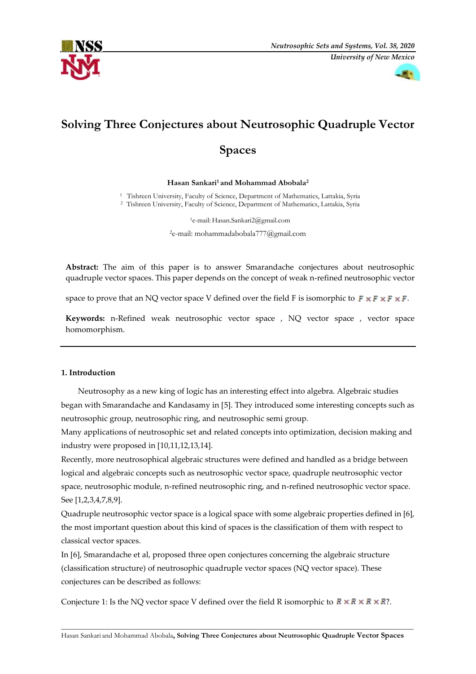



# **Solving Three Conjectures about Neutrosophic Quadruple Vector**

# **Spaces**

# **Hasan Sankari<sup>1</sup> and Mohammad Abobala<sup>2</sup>**

<sup>1</sup> Tishreen University, Faculty of Science, Department of Mathematics, Lattakia, Syria

<sup>2</sup>Tishreen University, Faculty of Science, Department of Mathematics, Lattakia, Syria

<sup>1</sup>e-mail: Hasan.Sankari2@gmail.com

<sup>2</sup>e-mail: mohammadabobala777@gmail.com

**Abstract:** The aim of this paper is to answer Smarandache conjectures about neutrosophic quadruple vector spaces. This paper depends on the concept of weak n-refined neutrosophic vector

space to prove that an NQ vector space V defined over the field F is isomorphic to  $F \times F \times F \times F$ .

**Keywords:** n-Refined weak neutrosophic vector space , NQ vector space , vector space homomorphism.

# **1. Introduction**

Neutrosophy as a new king of logic has an interesting effect into algebra. Algebraic studies began with Smarandache and Kandasamy in [5]. They introduced some interesting concepts such as neutrosophic group, neutrosophic ring, and neutrosophic semi group.

Many applications of neutrosophic set and related concepts into optimization, decision making and industry were proposed in [10,11,12,13,14].

Recently, more neutrosophical algebraic structures were defined and handled as a bridge between logical and algebraic concepts such as neutrosophic vector space, quadruple neutrosophic vector space, neutrosophic module, n-refined neutrosophic ring, and n-refined neutrosophic vector space. See [1,2,3,4,7,8,9].

Quadruple neutrosophic vector space is a logical space with some algebraic properties defined in [6], the most important question about this kind of spaces is the classification of them with respect to classical vector spaces.

In [6], Smarandache et al, proposed three open conjectures concerning the algebraic structure (classification structure) of neutrosophic quadruple vector spaces (NQ vector space). These conjectures can be described as follows:

Conjecture 1: Is the NQ vector space V defined over the field R isomorphic to  $R \times R \times R \times R$  ?.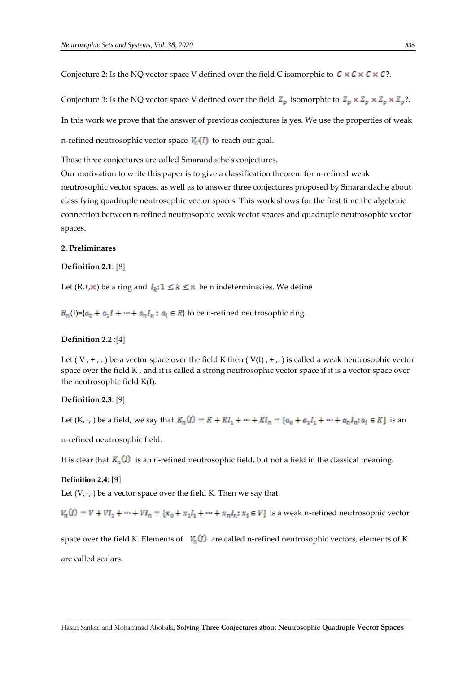Conjecture 2: Is the NQ vector space V defined over the field C isomorphic to  $C \times C \times C \times C$ ?.

Conjecture 3: Is the NQ vector space V defined over the field  $Z_p$  isomorphic to  $Z_p \times Z_p \times Z_p \times Z_p$ ?. In this work we prove that the answer of previous conjectures is yes. We use the properties of weak n-refined neutrosophic vector space  $V_n(I)$  to reach our goal.

These three conjectures are called Smarandache's conjectures.

Our motivation to write this paper is to give a classification theorem for n-refined weak neutrosophic vector spaces, as well as to answer three conjectures proposed by Smarandache about classifying quadruple neutrosophic vector spaces. This work shows for the first time the algebraic connection between n-refined neutrosophic weak vector spaces and quadruple neutrosophic vector spaces.

#### **2. Preliminares**

## **Definition 2.1**: [8]

Let  $(R, +, \times)$  be a ring and  $I_k$ ;  $1 \le k \le n$  be n indeterminacies. We define

 $R_n(I)$ ={ $a_0 + a_1I + \cdots + a_nI_n$ ;  $a_i \in R$ } to be n-refined neutrosophic ring.

# **Definition 2.2** :[4]

Let (V,  $+$ , .) be a vector space over the field K then (V(I),  $+$ , ) is called a weak neutrosophic vector space over the field K, and it is called a strong neutrosophic vector space if it is a vector space over the neutrosophic field K(I).

## **Definition 2.3**: [9]

Let (K,+,⋅) be a field, we say that  $K_n(I) = K + K I_1 + \cdots + K I_n = \{a_0 + a_1 I_1 + \cdots + a_n I_n : a_i \in K\}$  is an

n-refined neutrosophic field.

It is clear that  $K_n(I)$  is an n-refined neutrosophic field, but not a field in the classical meaning.

#### **Definition 2.4**: [9]

Let (V,+,∙) be a vector space over the field K. Then we say that

 $V_n(I) = V + VI_1 + \dots + VI_n = \{x_0 + x_1I_1 + \dots + x_nI_n : x_i \in V\}$  is a weak n-refined neutrosophic vector

space over the field K. Elements of  $V_n(I)$  are called n-refined neutrosophic vectors, elements of K are called scalars.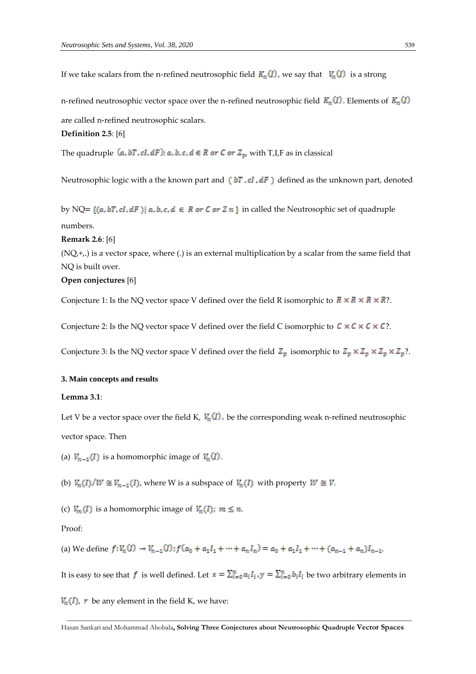If we take scalars from the n-refined neutrosophic field  $K_n(I)$ , we say that  $V_n(I)$  is a strong

n-refined neutrosophic vector space over the n-refined neutrosophic field  $K_n(I)$ . Elements of  $K_n(I)$ 

are called n-refined neutrosophic scalars.

**Definition 2.5**: [6]

The quadruple  $(a, bT, cl, dF)$ ;  $a, b, c, d \in R$  or  $C$  or  $Z_p$ , with T,I,F as in classical

Neutrosophic logic with a the known part and  $(bT, cI, dF)$  defined as the unknown part, denoted

by NQ=  $\{(a, bT, cI, dF) | a, b, c, d \in R \text{ or } C \text{ or } Z \text{ } n\}$  in called the Neutrosophic set of quadruple numbers.

**Remark 2.6**: [6]

 $(NQ, +,.)$  is a vector space, where (.) is an external multiplication by a scalar from the same field that NQ is built over.

# **Open conjectures** [6]

Conjecture 1: Is the NQ vector space V defined over the field R isomorphic to  $R \times R \times R \times R$ ?.

Conjecture 2: Is the NQ vector space V defined over the field C isomorphic to  $C \times C \times C \times C$ ?.

Conjecture 3: Is the NQ vector space V defined over the field  $Z_p$  isomorphic to  $Z_p \times Z_p \times Z_p \times Z_p$ ?.

## **3. Main concepts and results**

#### **Lemma 3.1**:

Let V be a vector space over the field K,  $V_n(I)$ , be the corresponding weak n-refined neutrosophic

vector space. Then

(a)  $V_{n-1}(I)$  is a homomorphic image of  $V_n(I)$ .

(b)  $V_n(I)/W \cong V_{n-1}(I)$ , where W is a subspace of  $V_n(I)$  with property  $W \cong V$ .

(c)  $V_m(I)$  is a homomorphic image of  $V_n(I)$ ;  $m \leq n$ .

# Proof:

(a) We define  $f: V_n(I) \to V_{n-1}(I)$ ;  $f(a_0 + a_1I_1 + \cdots + a_nI_n) = a_0 + a_1I_1 + \cdots + (a_{n-1} + a_n)I_{n-1}$ .

It is easy to see that f is well defined. Let  $x = \sum_{i=0}^{n} a_i I_i$ ,  $y = \sum_{i=0}^{n} b_i I_i$  be two arbitrary elements in

 $V_n(I)$ , r be any element in the field K, we have:

Hasan Sankari and Mohammad Abobala**, Solving Three Conjectures about Neutrosophic Quadruple Vector Spaces**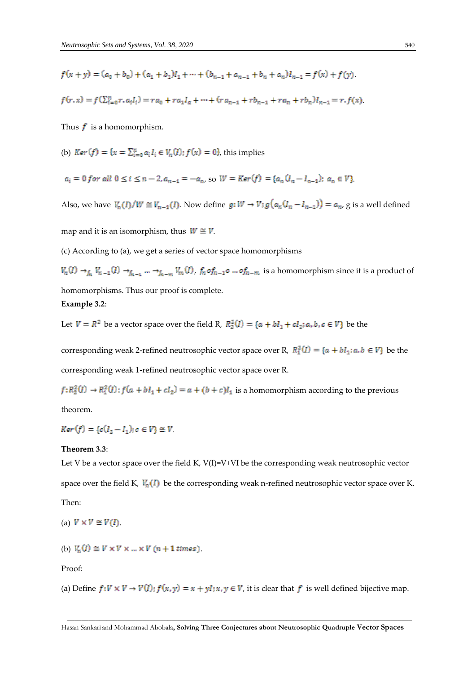$$
f(x + y) = (a_0 + b_0) + (a_1 + b_1)I_1 + \dots + (b_{n-1} + a_{n-1} + b_n + a_n)I_{n-1} = f(x) + f(y).
$$

$$
f(r,x) = f(\sum_{i=0}^{n} r, a_i I_i) = ra_0 + ra_1 I_a + \dots + (ra_{n-1} + rb_{n-1} + ra_n + rb_n)I_{n-1} = r \cdot f(x)
$$

Thus  $f$  is a homomorphism.

(b) 
$$
Ker(f) = \{x = \sum_{i=0}^{n} a_i I_i \in V_n(I); f(x) = 0\}
$$
, this implies

$$
a_i = 0 \text{ for all } 0 \le i \le n-2, a_{n-1} = -a_n \text{ so } W = \text{Ker}(f) = \{a_n (I_n - I_{n-1}); a_n \in V\}.
$$

Also, we have  $V_n(I)/W \cong V_{n-1}(I)$ . Now define  $g: W \to V$ ;  $g(a_n(I_n - I_{n-1})) = a_n$ , g is a well defined

map and it is an isomorphism, thus  $W \cong V$ .

(c) According to (a), we get a series of vector space homomorphisms

 $V_n(I) \to_{f_n} V_{n-1}(I) \to_{f_{n-1}} ... \to_{f_{n-m}} V_m(I)$ ,  $f_n \circ f_{n-1} \circ ... \circ f_{n-m}$  is a homomorphism since it is a product of homomorphisms. Thus our proof is complete.

# **Example 3.2**:

Let  $V = R^2$  be a vector space over the field R,  $R_2^2(I) = \{a + bl_1 + cl_2; a, b, c \in V\}$  be the

corresponding weak 2-refined neutrosophic vector space over R,  $R_1^2(I) = \{a + bl_1; a, b \in V\}$  be the corresponding weak 1-refined neutrosophic vector space over R.

 $f: R_2^2(I) \to R_1^2(I)$ ;  $f(a + bI_1 + cI_2) = a + (b + c)I_1$  is a homomorphism according to the previous

theorem.

 $Ker(f) = {c(I_2 - I_1); c \in V} \cong V.$ 

#### **Theorem 3.3**:

Let V be a vector space over the field K, V(I)=V+VI be the corresponding weak neutrosophic vector space over the field K,  $V_n(I)$  be the corresponding weak n-refined neutrosophic vector space over K. Then:

(a) 
$$
V \times V \cong V(I)
$$

(b) 
$$
V_n(I) \cong V \times V \times ... \times V
$$
  $(n + 1 \text{ times})$ 

Proof:

(a) Define  $f: V \times V \rightarrow V(I); f(x, y) = x + yI; x, y \in V$ , it is clear that f is well defined bijective map.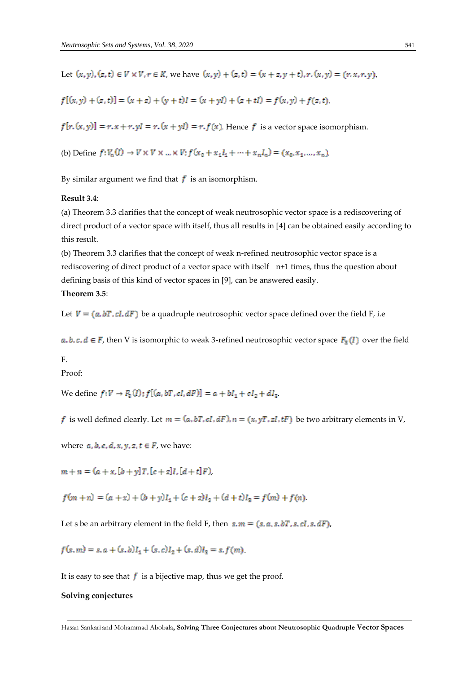Let  $(x, y)$ ,  $(z, t) \in V \times V$ ,  $r \in K$ , we have  $(x, y) + (z, t) = (x + z, y + t)$ ,  $r \cdot (x, y) = (r, x, r, y)$ ,

$$
f[(x, y) + (z, t)] = (x + z) + (y + t)I = (x + yI) + (z + tI) = f(x, y) + f(z, t).
$$

 $f[r_{n}(x, y)] = r_{n}(x + r_{n}, y] = r_{n}(x + y) = r_{n}(x)$ . Hence f is a vector space isomorphism.

(b) Define  $f: V_n(I) \to V \times V \times ... \times V$ ;  $f(x_0 + x_1I_1 + ... + x_nI_n) = (x_0, x_1, ..., x_n)$ .

By similar argument we find that  $f$  is an isomorphism.

# **Result 3.4**:

(a) Theorem 3.3 clarifies that the concept of weak neutrosophic vector space is a rediscovering of direct product of a vector space with itself, thus all results in [4] can be obtained easily according to this result.

(b) Theorem 3.3 clarifies that the concept of weak n-refined neutrosophic vector space is a rediscovering of direct product of a vector space with itself n+1 times, thus the question about defining basis of this kind of vector spaces in [9], can be answered easily.

# **Theorem 3.5**:

Let  $V = (a, bT, cl, dF)$  be a quadruple neutrosophic vector space defined over the field F, i.e

 $a, b, c, d \in F$ , then V is isomorphic to weak 3-refined neutrosophic vector space  $F_a(I)$  over the field

#### F.

Proof:

We define  $f: V \to F_3(I)$ ;  $f[(a, bT, cI, dF)] = a + bI_1 + cI_2 + dI_3$ .

f is well defined clearly. Let  $m = (a, bT, cI, dF), n = (x, yT, zI, tF)$  be two arbitrary elements in V,

where  $a, b, c, d, x, y, z, t \in F$ , we have:

 $m + n = (a + x, [b + y]T, [c + z]I, [d + t]F)$ 

 $f(m+n) = (a + x) + (b + y)I_1 + (c + z)I_2 + (d + t)I_3 = f(m) + f(n)$ .

Let s be an arbitrary element in the field F, then  $s, m = (s, a, s, bT, s, cI, s, dF)$ ,

 $f(s,m) = s, a + (s,b)I_1 + (s,c)I_2 + (s,d)I_3 = s, f(m)$ .

It is easy to see that  $f$  is a bijective map, thus we get the proof.

### **Solving conjectures**

Hasan Sankari and Mohammad Abobala**, Solving Three Conjectures about Neutrosophic Quadruple Vector Spaces**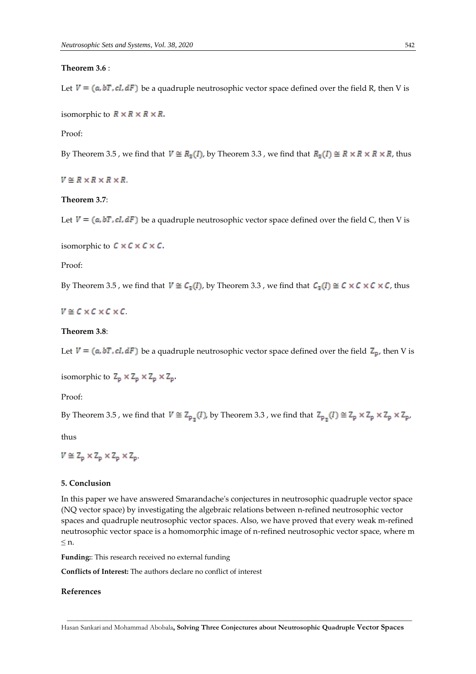## **Theorem 3.6** :

Let  $V = (a, bT, cl, dF)$  be a quadruple neutrosophic vector space defined over the field R, then V is

isomorphic to  $R \times R \times R \times R$ .

## Proof:

By Theorem 3.5, we find that  $V \cong R_3(I)$ , by Theorem 3.3, we find that  $R_3(I) \cong R \times R \times R \times R$ , thus

 $V \cong R \times R \times R \times R$ 

## **Theorem 3.7**:

Let  $V = (a, bT, cI, dF)$  be a quadruple neutrosophic vector space defined over the field C, then V is

isomorphic to  $C \times C \times C \times C$ .

#### Proof:

By Theorem 3.5, we find that  $V \cong C_3(I)$ , by Theorem 3.3, we find that  $C_3(I) \cong C \times C \times C \times C$ , thus

# $V \cong C \times C \times C \times C$

#### **Theorem 3.8**:

Let  $V = (a, bT, cI, dF)$  be a quadruple neutrosophic vector space defined over the field  $Z_p$ , then V is

isomorphic to  $Z_p \times Z_p \times Z_p \times Z_p$ .

Proof:

By Theorem 3.5, we find that  $V \cong Z_{p,q}(I)$ , by Theorem 3.3, we find that  $Z_{p,q}(I) \cong Z_p \times Z_p \times Z_p \times Z_p$ ,

thus

 $V \cong Z_p \times Z_p \times Z_p \times Z_p$ .

## **5. Conclusion**

In this paper we have answered Smarandache's conjectures in neutrosophic quadruple vector space (NQ vector space) by investigating the algebraic relations between n-refined neutrosophic vector spaces and quadruple neutrosophic vector spaces. Also, we have proved that every weak m-refined neutrosophic vector space is a homomorphic image of n-refined neutrosophic vector space, where m  $\leq n$ .

**Funding:**: This research received no external funding

**Conflicts of Interest:** The authors declare no conflict of interest

## **References**